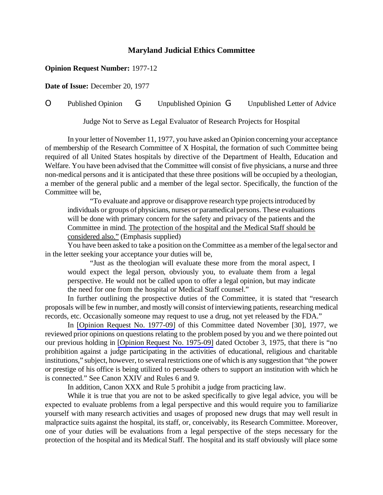## **Maryland Judicial Ethics Committee**

## **Opinion Request Number:** 1977-12

**Date of Issue:** December 20, 1977

## O Published Opinion G Unpublished Opinion G Unpublished Letter of Advice

Judge Not to Serve as Legal Evaluator of Research Projects for Hospital

In your letter of November 11, 1977, you have asked an Opinion concerning your acceptance of membership of the Research Committee of X Hospital, the formation of such Committee being required of all United States hospitals by directive of the Department of Health, Education and Welfare. You have been advised that the Committee will consist of five physicians, a nurse and three non-medical persons and it is anticipated that these three positions will be occupied by a theologian, a member of the general public and a member of the legal sector. Specifically, the function of the Committee will be,

"To evaluate and approve or disapprove research type projectsintroduced by individuals or groups of physicians, nurses or paramedical persons. These evaluations will be done with primary concern for the safety and privacy of the patients and the Committee in mind. The protection of the hospital and the Medical Staff should be considered also." (Emphasis supplied)

You have been asked to take a position on the Committee as a member of the legal sector and in the letter seeking your acceptance your duties will be,

"Just as the theologian will evaluate these more from the moral aspect, I would expect the legal person, obviously you, to evaluate them from a legal perspective. He would not be called upon to offer a legal opinion, but may indicate the need for one from the hospital or Medical Staff counsel."

In further outlining the prospective duties of the Committee, it is stated that "research proposals will be few in number, and mostly will consist ofinterviewing patients, researching medical records, etc. Occasionally someone may request to use a drug, not yet released by the FDA."

In [\[Opinion Request No. 1977-09\]](http://www.mdcourts.gov/ethics/pdfs/1977-09.pdf) of this Committee dated November [30], 1977, we reviewed prior opinions on questions relating to the problem posed by you and we there pointed out our previous holding in [Opinion Request No. [1975-09\]](http://www.mdcourts.gov/ethics/pdfs/1975-09.pdf) dated October 3, 1975, that there is "no prohibition against a judge participating in the activities of educational, religious and charitable institutions," subject, however, to several restrictions one of which is any suggestion that "the power or prestige of his office is being utilized to persuade others to support an institution with which he is connected." See Canon XXIV and Rules 6 and 9.

In addition, Canon XXX and Rule 5 prohibit a judge from practicing law.

While it is true that you are not to be asked specifically to give legal advice, you will be expected to evaluate problems from a legal perspective and this would require you to familiarize yourself with many research activities and usages of proposed new drugs that may well result in malpractice suits against the hospital, its staff, or, conceivably, its Research Committee. Moreover, one of your duties will be evaluations from a legal perspective of the steps necessary for the protection of the hospital and its Medical Staff. The hospital and its staff obviously will place some